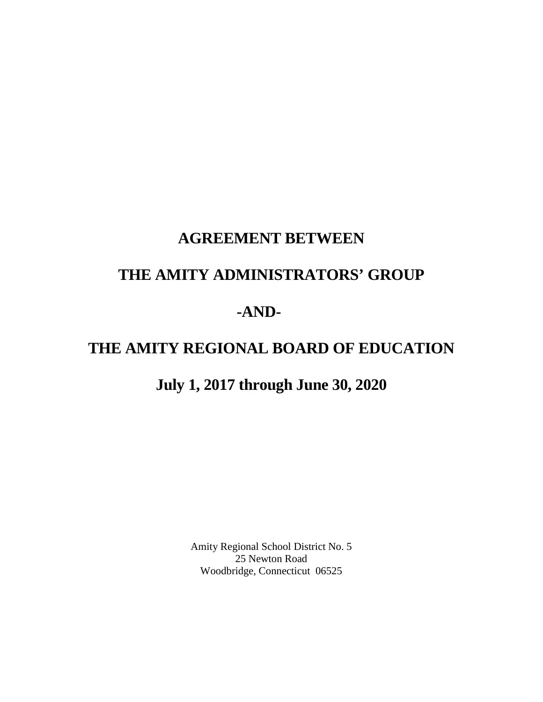# **AGREEMENT BETWEEN**

## **THE AMITY ADMINISTRATORS' GROUP**

# **-AND-**

# **THE AMITY REGIONAL BOARD OF EDUCATION**

# **July 1, 2017 through June 30, 2020**

Amity Regional School District No. 5 25 Newton Road Woodbridge, Connecticut 06525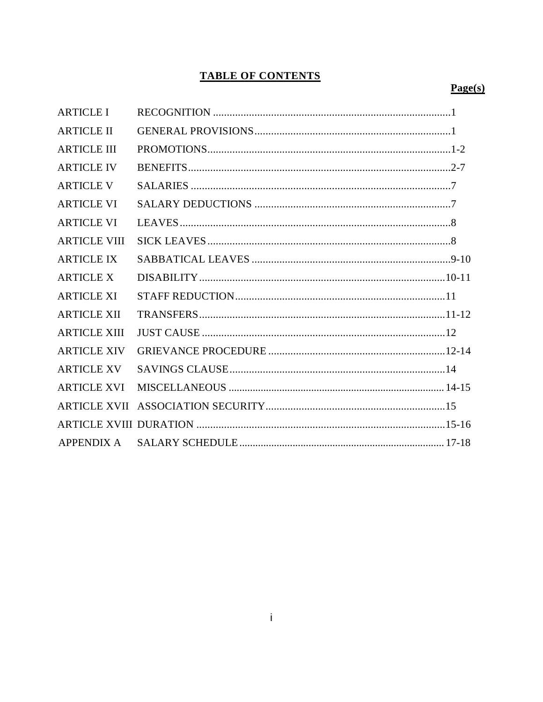## **TABLE OF CONTENTS**

## $Page(s)$

| <b>ARTICLE I</b>    |  |
|---------------------|--|
| <b>ARTICLE II</b>   |  |
| <b>ARTICLE III</b>  |  |
| <b>ARTICLE IV</b>   |  |
| <b>ARTICLE V</b>    |  |
| <b>ARTICLE VI</b>   |  |
| <b>ARTICLE VI</b>   |  |
| <b>ARTICLE VIII</b> |  |
| <b>ARTICLE IX</b>   |  |
| <b>ARTICLE X</b>    |  |
| <b>ARTICLE XI</b>   |  |
| <b>ARTICLE XII</b>  |  |
| <b>ARTICLE XIII</b> |  |
| <b>ARTICLE XIV</b>  |  |
| <b>ARTICLE XV</b>   |  |
| <b>ARTICLE XVI</b>  |  |
|                     |  |
|                     |  |
| <b>APPENDIX A</b>   |  |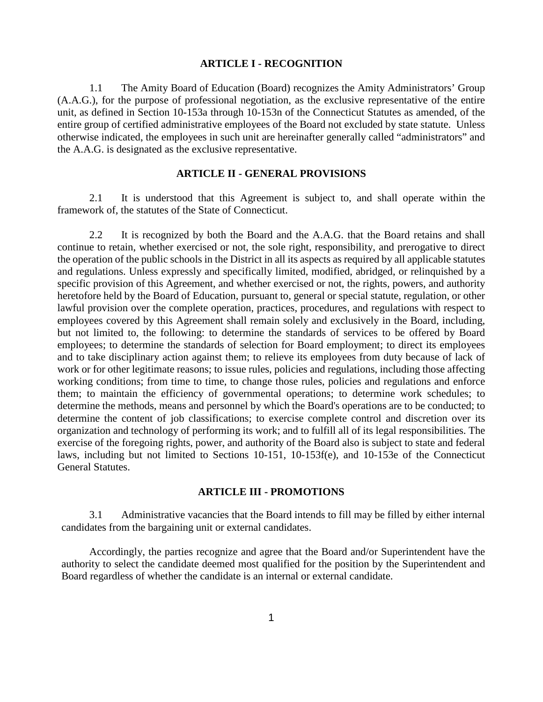#### **ARTICLE I - RECOGNITION**

1.1 The Amity Board of Education (Board) recognizes the Amity Administrators' Group (A.A.G.), for the purpose of professional negotiation, as the exclusive representative of the entire unit, as defined in Section 10-153a through 10-153n of the Connecticut Statutes as amended, of the entire group of certified administrative employees of the Board not excluded by state statute. Unless otherwise indicated, the employees in such unit are hereinafter generally called "administrators" and the A.A.G. is designated as the exclusive representative.

#### **ARTICLE II - GENERAL PROVISIONS**

2.1 It is understood that this Agreement is subject to, and shall operate within the framework of, the statutes of the State of Connecticut.

2.2 It is recognized by both the Board and the A.A.G. that the Board retains and shall continue to retain, whether exercised or not, the sole right, responsibility, and prerogative to direct the operation of the public schools in the District in all its aspects as required by all applicable statutes and regulations. Unless expressly and specifically limited, modified, abridged, or relinquished by a specific provision of this Agreement, and whether exercised or not, the rights, powers, and authority heretofore held by the Board of Education, pursuant to, general or special statute, regulation, or other lawful provision over the complete operation, practices, procedures, and regulations with respect to employees covered by this Agreement shall remain solely and exclusively in the Board, including, but not limited to, the following: to determine the standards of services to be offered by Board employees; to determine the standards of selection for Board employment; to direct its employees and to take disciplinary action against them; to relieve its employees from duty because of lack of work or for other legitimate reasons; to issue rules, policies and regulations, including those affecting working conditions; from time to time, to change those rules, policies and regulations and enforce them; to maintain the efficiency of governmental operations; to determine work schedules; to determine the methods, means and personnel by which the Board's operations are to be conducted; to determine the content of job classifications; to exercise complete control and discretion over its organization and technology of performing its work; and to fulfill all of its legal responsibilities. The exercise of the foregoing rights, power, and authority of the Board also is subject to state and federal laws, including but not limited to Sections 10-151, 10-153f(e), and 10-153e of the Connecticut General Statutes.

#### **ARTICLE III - PROMOTIONS**

3.1 Administrative vacancies that the Board intends to fill may be filled by either internal candidates from the bargaining unit or external candidates.

Accordingly, the parties recognize and agree that the Board and/or Superintendent have the authority to select the candidate deemed most qualified for the position by the Superintendent and Board regardless of whether the candidate is an internal or external candidate.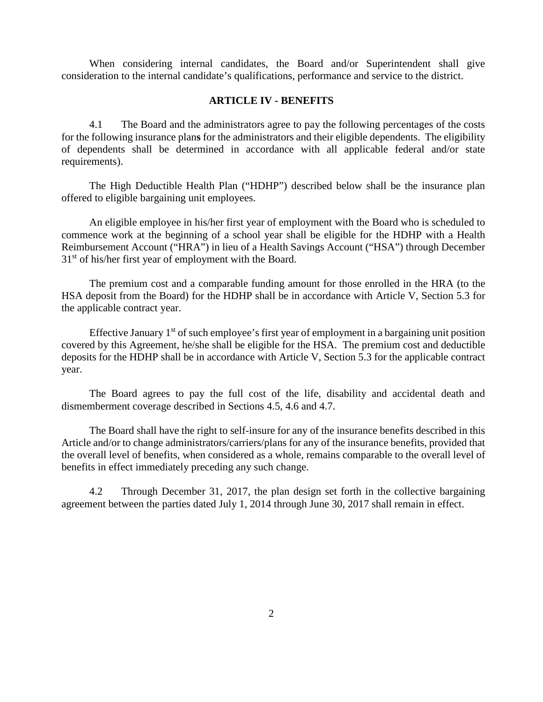When considering internal candidates, the Board and/or Superintendent shall give consideration to the internal candidate's qualifications, performance and service to the district.

#### **ARTICLE IV - BENEFITS**

4.1 The Board and the administrators agree to pay the following percentages of the costs for the following insurance plan**s** for the administrators and their eligible dependents. The eligibility of dependents shall be determined in accordance with all applicable federal and/or state requirements).

The High Deductible Health Plan ("HDHP") described below shall be the insurance plan offered to eligible bargaining unit employees.

An eligible employee in his/her first year of employment with the Board who is scheduled to commence work at the beginning of a school year shall be eligible for the HDHP with a Health Reimbursement Account ("HRA") in lieu of a Health Savings Account ("HSA") through December  $31<sup>st</sup>$  of his/her first year of employment with the Board.

The premium cost and a comparable funding amount for those enrolled in the HRA (to the HSA deposit from the Board) for the HDHP shall be in accordance with Article V, Section 5.3 for the applicable contract year.

Effective January  $1<sup>st</sup>$  of such employee's first year of employment in a bargaining unit position covered by this Agreement, he/she shall be eligible for the HSA. The premium cost and deductible deposits for the HDHP shall be in accordance with Article V, Section 5.3 for the applicable contract year.

The Board agrees to pay the full cost of the life, disability and accidental death and dismemberment coverage described in Sections 4.5, 4.6 and 4.7.

The Board shall have the right to self-insure for any of the insurance benefits described in this Article and/or to change administrators/carriers/plans for any of the insurance benefits, provided that the overall level of benefits, when considered as a whole, remains comparable to the overall level of benefits in effect immediately preceding any such change.

4.2 Through December 31, 2017, the plan design set forth in the collective bargaining agreement between the parties dated July 1, 2014 through June 30, 2017 shall remain in effect.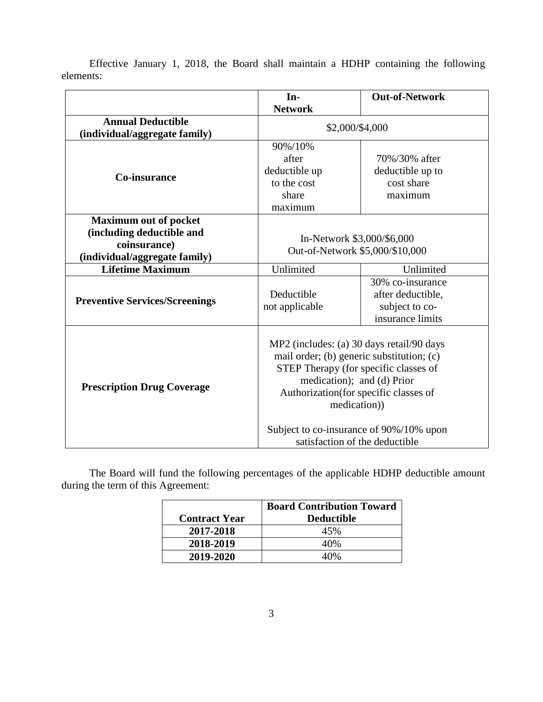|                                                                                                            | In-                                                                                                                                                                                                                                                                                                  | <b>Out-of-Network</b>                                                       |
|------------------------------------------------------------------------------------------------------------|------------------------------------------------------------------------------------------------------------------------------------------------------------------------------------------------------------------------------------------------------------------------------------------------------|-----------------------------------------------------------------------------|
|                                                                                                            | <b>Network</b>                                                                                                                                                                                                                                                                                       |                                                                             |
| <b>Annual Deductible</b><br>(individual/aggregate family)                                                  | \$2,000/\$4,000                                                                                                                                                                                                                                                                                      |                                                                             |
| Co-insurance                                                                                               | 90%/10%<br>after<br>deductible up<br>to the cost<br>share<br>maximum                                                                                                                                                                                                                                 | 70%/30% after<br>deductible up to<br>cost share<br>maximum                  |
| <b>Maximum out of pocket</b><br>(including deductible and<br>coinsurance)<br>(individual/aggregate family) | In-Network \$3,000/\$6,000<br>Out-of-Network \$5,000/\$10,000                                                                                                                                                                                                                                        |                                                                             |
| <b>Lifetime Maximum</b>                                                                                    | Unlimited                                                                                                                                                                                                                                                                                            | Unlimited                                                                   |
| <b>Preventive Services/Screenings</b>                                                                      | Deductible<br>not applicable                                                                                                                                                                                                                                                                         | 30% co-insurance<br>after deductible,<br>subject to co-<br>insurance limits |
| <b>Prescription Drug Coverage</b>                                                                          | MP2 (includes: (a) 30 days retail/90 days<br>mail order; (b) generic substitution; (c)<br>STEP Therapy (for specific classes of<br>medication); and (d) Prior<br>Authorization (for specific classes of<br>medication))<br>Subject to co-insurance of 90%/10% upon<br>satisfaction of the deductible |                                                                             |

Effective January 1, 2018, the Board shall maintain a HDHP containing the following elements:

The Board will fund the following percentages of the applicable HDHP deductible amount during the term of this Agreement:

|                      | <b>Board Contribution Toward</b> |
|----------------------|----------------------------------|
| <b>Contract Year</b> | <b>Deductible</b>                |
| 2017-2018            | 45%                              |
| 2018-2019            | 40%                              |
| 2019-2020            |                                  |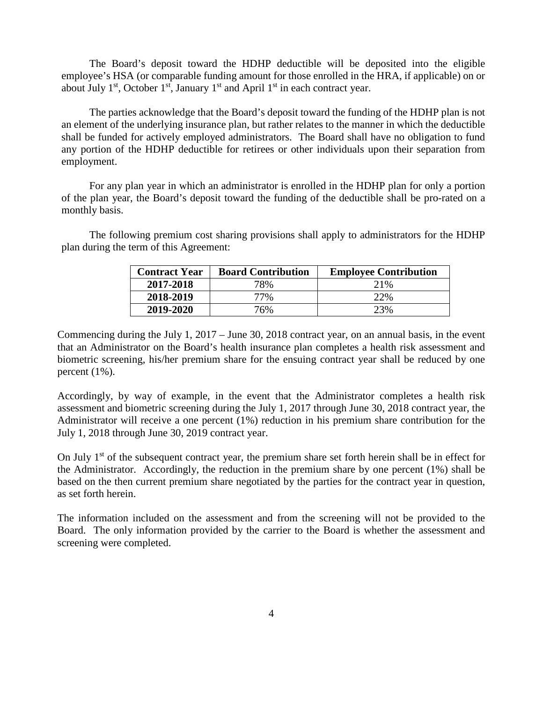The Board's deposit toward the HDHP deductible will be deposited into the eligible employee's HSA (or comparable funding amount for those enrolled in the HRA, if applicable) on or about July  $1<sup>st</sup>$ , October  $1<sup>st</sup>$ , January  $1<sup>st</sup>$  and April  $1<sup>st</sup>$  in each contract year.

The parties acknowledge that the Board's deposit toward the funding of the HDHP plan is not an element of the underlying insurance plan, but rather relates to the manner in which the deductible shall be funded for actively employed administrators. The Board shall have no obligation to fund any portion of the HDHP deductible for retirees or other individuals upon their separation from employment.

For any plan year in which an administrator is enrolled in the HDHP plan for only a portion of the plan year, the Board's deposit toward the funding of the deductible shall be pro-rated on a monthly basis.

The following premium cost sharing provisions shall apply to administrators for the HDHP plan during the term of this Agreement:

| <b>Contract Year</b> | <b>Board Contribution</b> | <b>Employee Contribution</b> |
|----------------------|---------------------------|------------------------------|
| 2017-2018            | 78%                       | 2.1%                         |
| 2018-2019            | 77%                       | 22%                          |
| 2019-2020            | 76%                       | 23%                          |

Commencing during the July 1, 2017 – June 30, 2018 contract year, on an annual basis, in the event that an Administrator on the Board's health insurance plan completes a health risk assessment and biometric screening, his/her premium share for the ensuing contract year shall be reduced by one percent (1%).

Accordingly, by way of example, in the event that the Administrator completes a health risk assessment and biometric screening during the July 1, 2017 through June 30, 2018 contract year, the Administrator will receive a one percent (1%) reduction in his premium share contribution for the July 1, 2018 through June 30, 2019 contract year.

On July  $1<sup>st</sup>$  of the subsequent contract year, the premium share set forth herein shall be in effect for the Administrator. Accordingly, the reduction in the premium share by one percent (1%) shall be based on the then current premium share negotiated by the parties for the contract year in question, as set forth herein.

The information included on the assessment and from the screening will not be provided to the Board. The only information provided by the carrier to the Board is whether the assessment and screening were completed.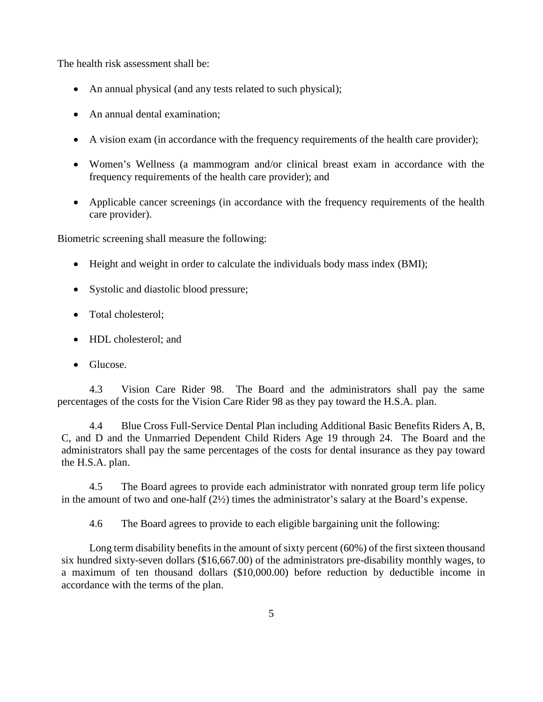The health risk assessment shall be:

- An annual physical (and any tests related to such physical);
- An annual dental examination:
- A vision exam (in accordance with the frequency requirements of the health care provider);
- Women's Wellness (a mammogram and/or clinical breast exam in accordance with the frequency requirements of the health care provider); and
- Applicable cancer screenings (in accordance with the frequency requirements of the health care provider).

Biometric screening shall measure the following:

- Height and weight in order to calculate the individuals body mass index (BMI);
- Systolic and diastolic blood pressure;
- Total cholesterol:
- HDL cholesterol: and
- Glucose.

4.3 Vision Care Rider 98. The Board and the administrators shall pay the same percentages of the costs for the Vision Care Rider 98 as they pay toward the H.S.A. plan.

4.4 Blue Cross Full-Service Dental Plan including Additional Basic Benefits Riders A, B, C, and D and the Unmarried Dependent Child Riders Age 19 through 24. The Board and the administrators shall pay the same percentages of the costs for dental insurance as they pay toward the H.S.A. plan.

4.5 The Board agrees to provide each administrator with nonrated group term life policy in the amount of two and one-half (2½) times the administrator's salary at the Board's expense.

4.6 The Board agrees to provide to each eligible bargaining unit the following:

Long term disability benefits in the amount of sixty percent (60%) of the first sixteen thousand six hundred sixty-seven dollars (\$16,667.00) of the administrators pre-disability monthly wages, to a maximum of ten thousand dollars (\$10,000.00) before reduction by deductible income in accordance with the terms of the plan.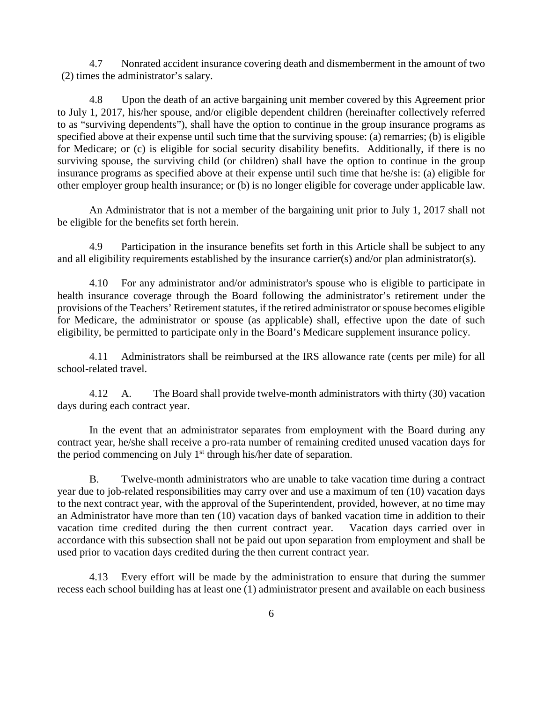4.7 Nonrated accident insurance covering death and dismemberment in the amount of two (2) times the administrator's salary.

4.8 Upon the death of an active bargaining unit member covered by this Agreement prior to July 1, 2017, his/her spouse, and/or eligible dependent children (hereinafter collectively referred to as "surviving dependents"), shall have the option to continue in the group insurance programs as specified above at their expense until such time that the surviving spouse: (a) remarries; (b) is eligible for Medicare; or (c) is eligible for social security disability benefits. Additionally, if there is no surviving spouse, the surviving child (or children) shall have the option to continue in the group insurance programs as specified above at their expense until such time that he/she is: (a) eligible for other employer group health insurance; or (b) is no longer eligible for coverage under applicable law.

An Administrator that is not a member of the bargaining unit prior to July 1, 2017 shall not be eligible for the benefits set forth herein.

4.9 Participation in the insurance benefits set forth in this Article shall be subject to any and all eligibility requirements established by the insurance carrier(s) and/or plan administrator(s).

4.10 For any administrator and/or administrator's spouse who is eligible to participate in health insurance coverage through the Board following the administrator's retirement under the provisions of the Teachers' Retirement statutes, if the retired administrator or spouse becomes eligible for Medicare, the administrator or spouse (as applicable) shall, effective upon the date of such eligibility, be permitted to participate only in the Board's Medicare supplement insurance policy.

4.11 Administrators shall be reimbursed at the IRS allowance rate (cents per mile) for all school-related travel.

4.12 A. The Board shall provide twelve-month administrators with thirty (30) vacation days during each contract year.

In the event that an administrator separates from employment with the Board during any contract year, he/she shall receive a pro-rata number of remaining credited unused vacation days for the period commencing on July  $1<sup>st</sup>$  through his/her date of separation.

B. Twelve-month administrators who are unable to take vacation time during a contract year due to job-related responsibilities may carry over and use a maximum of ten (10) vacation days to the next contract year, with the approval of the Superintendent, provided, however, at no time may an Administrator have more than ten (10) vacation days of banked vacation time in addition to their vacation time credited during the then current contract year. Vacation days carried over in accordance with this subsection shall not be paid out upon separation from employment and shall be used prior to vacation days credited during the then current contract year.

4.13 Every effort will be made by the administration to ensure that during the summer recess each school building has at least one (1) administrator present and available on each business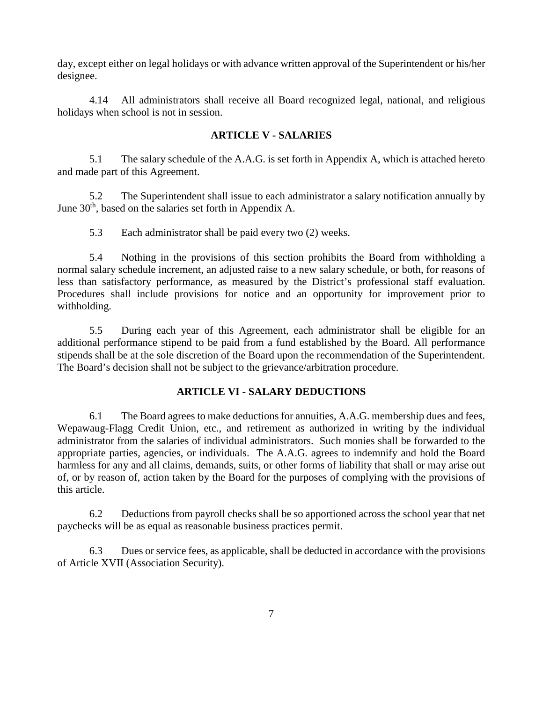day, except either on legal holidays or with advance written approval of the Superintendent or his/her designee.

4.14 All administrators shall receive all Board recognized legal, national, and religious holidays when school is not in session.

## **ARTICLE V - SALARIES**

5.1 The salary schedule of the A.A.G. is set forth in Appendix A, which is attached hereto and made part of this Agreement.

5.2 The Superintendent shall issue to each administrator a salary notification annually by June 30<sup>th</sup>, based on the salaries set forth in Appendix A.

5.3 Each administrator shall be paid every two (2) weeks.

5.4 Nothing in the provisions of this section prohibits the Board from withholding a normal salary schedule increment, an adjusted raise to a new salary schedule, or both, for reasons of less than satisfactory performance, as measured by the District's professional staff evaluation. Procedures shall include provisions for notice and an opportunity for improvement prior to withholding.

5.5 During each year of this Agreement, each administrator shall be eligible for an additional performance stipend to be paid from a fund established by the Board. All performance stipends shall be at the sole discretion of the Board upon the recommendation of the Superintendent. The Board's decision shall not be subject to the grievance/arbitration procedure.

### **ARTICLE VI - SALARY DEDUCTIONS**

6.1 The Board agrees to make deductions for annuities, A.A.G. membership dues and fees, Wepawaug-Flagg Credit Union, etc., and retirement as authorized in writing by the individual administrator from the salaries of individual administrators. Such monies shall be forwarded to the appropriate parties, agencies, or individuals. The A.A.G. agrees to indemnify and hold the Board harmless for any and all claims, demands, suits, or other forms of liability that shall or may arise out of, or by reason of, action taken by the Board for the purposes of complying with the provisions of this article.

6.2 Deductions from payroll checks shall be so apportioned across the school year that net paychecks will be as equal as reasonable business practices permit.

6.3 Dues or service fees, as applicable, shall be deducted in accordance with the provisions of Article XVII (Association Security).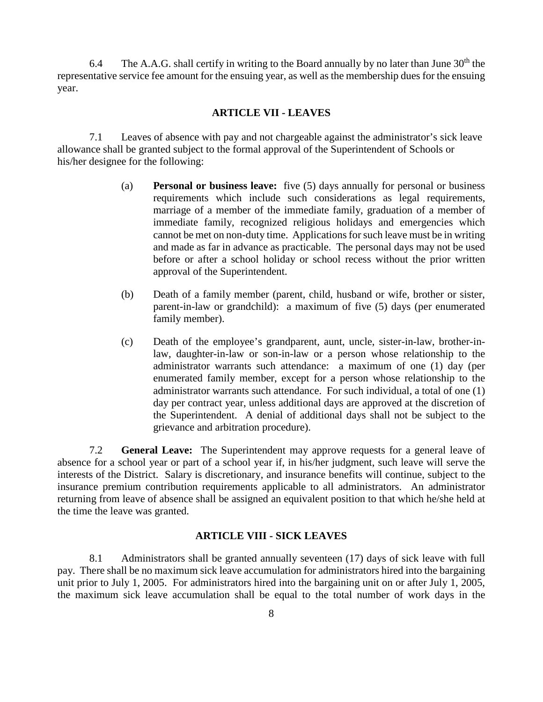6.4 The A.A.G. shall certify in writing to the Board annually by no later than June  $30<sup>th</sup>$  the representative service fee amount for the ensuing year, as well as the membership dues for the ensuing year.

#### **ARTICLE VII - LEAVES**

7.1 Leaves of absence with pay and not chargeable against the administrator's sick leave allowance shall be granted subject to the formal approval of the Superintendent of Schools or his/her designee for the following:

- (a) **Personal or business leave:** five (5) days annually for personal or business requirements which include such considerations as legal requirements, marriage of a member of the immediate family, graduation of a member of immediate family, recognized religious holidays and emergencies which cannot be met on non-duty time. Applications for such leave must be in writing and made as far in advance as practicable. The personal days may not be used before or after a school holiday or school recess without the prior written approval of the Superintendent.
- (b) Death of a family member (parent, child, husband or wife, brother or sister, parent-in-law or grandchild): a maximum of five (5) days (per enumerated family member).
- (c) Death of the employee's grandparent, aunt, uncle, sister-in-law, brother-inlaw, daughter-in-law or son-in-law or a person whose relationship to the administrator warrants such attendance: a maximum of one (1) day (per enumerated family member, except for a person whose relationship to the administrator warrants such attendance. For such individual, a total of one (1) day per contract year, unless additional days are approved at the discretion of the Superintendent. A denial of additional days shall not be subject to the grievance and arbitration procedure).

7.2 **General Leave:** The Superintendent may approve requests for a general leave of absence for a school year or part of a school year if, in his/her judgment, such leave will serve the interests of the District. Salary is discretionary, and insurance benefits will continue, subject to the insurance premium contribution requirements applicable to all administrators. An administrator returning from leave of absence shall be assigned an equivalent position to that which he/she held at the time the leave was granted.

#### **ARTICLE VIII - SICK LEAVES**

8.1 Administrators shall be granted annually seventeen (17) days of sick leave with full pay. There shall be no maximum sick leave accumulation for administrators hired into the bargaining unit prior to July 1, 2005. For administrators hired into the bargaining unit on or after July 1, 2005, the maximum sick leave accumulation shall be equal to the total number of work days in the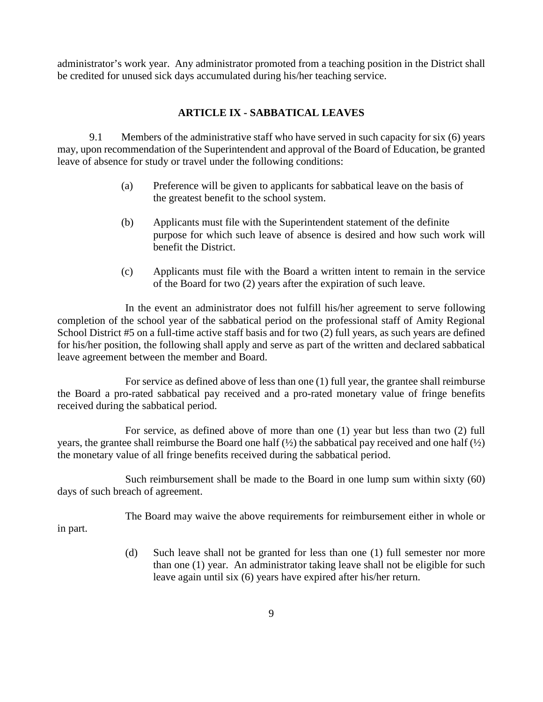administrator's work year. Any administrator promoted from a teaching position in the District shall be credited for unused sick days accumulated during his/her teaching service.

### **ARTICLE IX - SABBATICAL LEAVES**

9.1 Members of the administrative staff who have served in such capacity for six (6) years may, upon recommendation of the Superintendent and approval of the Board of Education, be granted leave of absence for study or travel under the following conditions:

- (a) Preference will be given to applicants for sabbatical leave on the basis of the greatest benefit to the school system.
- (b) Applicants must file with the Superintendent statement of the definite purpose for which such leave of absence is desired and how such work will benefit the District.
- (c) Applicants must file with the Board a written intent to remain in the service of the Board for two (2) years after the expiration of such leave.

In the event an administrator does not fulfill his/her agreement to serve following completion of the school year of the sabbatical period on the professional staff of Amity Regional School District #5 on a full-time active staff basis and for two (2) full years, as such years are defined for his/her position, the following shall apply and serve as part of the written and declared sabbatical leave agreement between the member and Board.

For service as defined above of less than one (1) full year, the grantee shall reimburse the Board a pro-rated sabbatical pay received and a pro-rated monetary value of fringe benefits received during the sabbatical period.

For service, as defined above of more than one (1) year but less than two (2) full years, the grantee shall reimburse the Board one half  $(\frac{1}{2})$  the sabbatical pay received and one half  $(\frac{1}{2})$ the monetary value of all fringe benefits received during the sabbatical period.

Such reimbursement shall be made to the Board in one lump sum within sixty (60) days of such breach of agreement.

The Board may waive the above requirements for reimbursement either in whole or in part.

> (d) Such leave shall not be granted for less than one (1) full semester nor more than one (1) year. An administrator taking leave shall not be eligible for such leave again until six (6) years have expired after his/her return.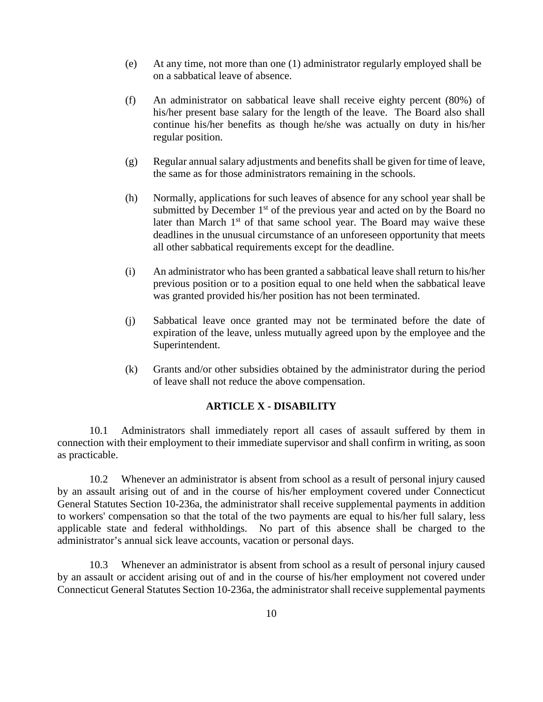- (e) At any time, not more than one (1) administrator regularly employed shall be on a sabbatical leave of absence.
- (f) An administrator on sabbatical leave shall receive eighty percent (80%) of his/her present base salary for the length of the leave. The Board also shall continue his/her benefits as though he/she was actually on duty in his/her regular position.
- (g) Regular annual salary adjustments and benefits shall be given for time of leave, the same as for those administrators remaining in the schools.
- (h) Normally, applications for such leaves of absence for any school year shall be submitted by December  $1<sup>st</sup>$  of the previous year and acted on by the Board no later than March  $1<sup>st</sup>$  of that same school year. The Board may waive these deadlines in the unusual circumstance of an unforeseen opportunity that meets all other sabbatical requirements except for the deadline.
- (i) An administrator who has been granted a sabbatical leave shall return to his/her previous position or to a position equal to one held when the sabbatical leave was granted provided his/her position has not been terminated.
- (j) Sabbatical leave once granted may not be terminated before the date of expiration of the leave, unless mutually agreed upon by the employee and the Superintendent.
- (k) Grants and/or other subsidies obtained by the administrator during the period of leave shall not reduce the above compensation.

### **ARTICLE X - DISABILITY**

10.1 Administrators shall immediately report all cases of assault suffered by them in connection with their employment to their immediate supervisor and shall confirm in writing, as soon as practicable.

10.2 Whenever an administrator is absent from school as a result of personal injury caused by an assault arising out of and in the course of his/her employment covered under Connecticut General Statutes Section 10-236a, the administrator shall receive supplemental payments in addition to workers' compensation so that the total of the two payments are equal to his/her full salary, less applicable state and federal withholdings. No part of this absence shall be charged to the administrator's annual sick leave accounts, vacation or personal days.

10.3 Whenever an administrator is absent from school as a result of personal injury caused by an assault or accident arising out of and in the course of his/her employment not covered under Connecticut General Statutes Section 10-236a, the administrator shall receive supplemental payments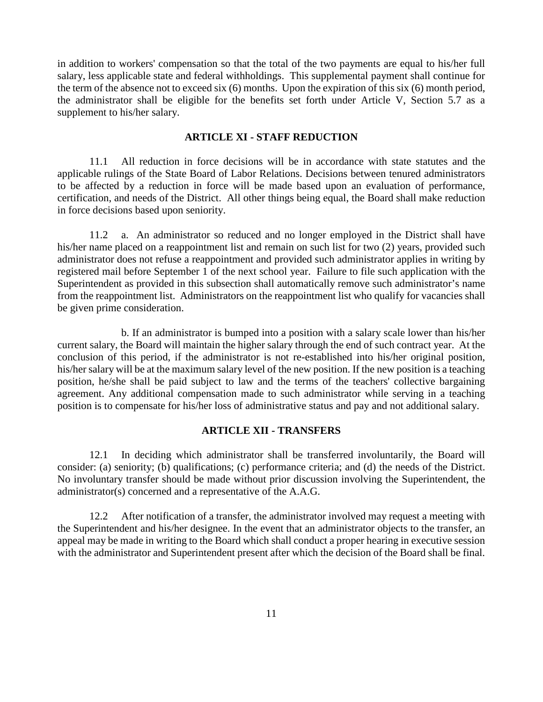in addition to workers' compensation so that the total of the two payments are equal to his/her full salary, less applicable state and federal withholdings. This supplemental payment shall continue for the term of the absence not to exceed six (6) months. Upon the expiration of this six (6) month period, the administrator shall be eligible for the benefits set forth under Article V, Section 5.7 as a supplement to his/her salary.

#### **ARTICLE XI - STAFF REDUCTION**

11.1 All reduction in force decisions will be in accordance with state statutes and the applicable rulings of the State Board of Labor Relations. Decisions between tenured administrators to be affected by a reduction in force will be made based upon an evaluation of performance, certification, and needs of the District. All other things being equal, the Board shall make reduction in force decisions based upon seniority.

11.2 a. An administrator so reduced and no longer employed in the District shall have his/her name placed on a reappointment list and remain on such list for two (2) years, provided such administrator does not refuse a reappointment and provided such administrator applies in writing by registered mail before September 1 of the next school year. Failure to file such application with the Superintendent as provided in this subsection shall automatically remove such administrator's name from the reappointment list. Administrators on the reappointment list who qualify for vacancies shall be given prime consideration.

b. If an administrator is bumped into a position with a salary scale lower than his/her current salary, the Board will maintain the higher salary through the end of such contract year. At the conclusion of this period, if the administrator is not re-established into his/her original position, his/her salary will be at the maximum salary level of the new position. If the new position is a teaching position, he/she shall be paid subject to law and the terms of the teachers' collective bargaining agreement. Any additional compensation made to such administrator while serving in a teaching position is to compensate for his/her loss of administrative status and pay and not additional salary.

#### **ARTICLE XII - TRANSFERS**

12.1 In deciding which administrator shall be transferred involuntarily, the Board will consider: (a) seniority; (b) qualifications; (c) performance criteria; and (d) the needs of the District. No involuntary transfer should be made without prior discussion involving the Superintendent, the administrator(s) concerned and a representative of the A.A.G.

12.2 After notification of a transfer, the administrator involved may request a meeting with the Superintendent and his/her designee. In the event that an administrator objects to the transfer, an appeal may be made in writing to the Board which shall conduct a proper hearing in executive session with the administrator and Superintendent present after which the decision of the Board shall be final.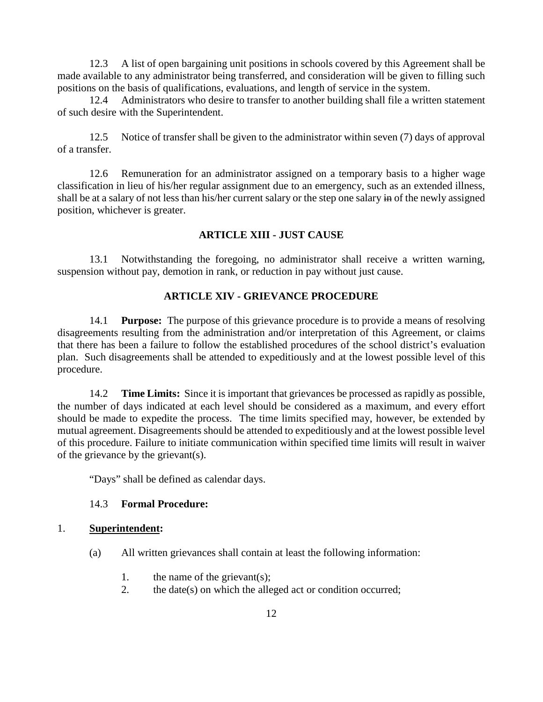12.3 A list of open bargaining unit positions in schools covered by this Agreement shall be made available to any administrator being transferred, and consideration will be given to filling such positions on the basis of qualifications, evaluations, and length of service in the system.

12.4 Administrators who desire to transfer to another building shall file a written statement of such desire with the Superintendent.

12.5 Notice of transfer shall be given to the administrator within seven (7) days of approval of a transfer.

12.6 Remuneration for an administrator assigned on a temporary basis to a higher wage classification in lieu of his/her regular assignment due to an emergency, such as an extended illness, shall be at a salary of not less than his/her current salary or the step one salary in of the newly assigned position, whichever is greater.

## **ARTICLE XIII - JUST CAUSE**

13.1 Notwithstanding the foregoing, no administrator shall receive a written warning, suspension without pay, demotion in rank, or reduction in pay without just cause.

## **ARTICLE XIV - GRIEVANCE PROCEDURE**

14.1 **Purpose:** The purpose of this grievance procedure is to provide a means of resolving disagreements resulting from the administration and/or interpretation of this Agreement, or claims that there has been a failure to follow the established procedures of the school district's evaluation plan. Such disagreements shall be attended to expeditiously and at the lowest possible level of this procedure.

14.2 **Time Limits:** Since it is important that grievances be processed as rapidly as possible, the number of days indicated at each level should be considered as a maximum, and every effort should be made to expedite the process. The time limits specified may, however, be extended by mutual agreement. Disagreements should be attended to expeditiously and at the lowest possible level of this procedure. Failure to initiate communication within specified time limits will result in waiver of the grievance by the grievant(s).

"Days" shall be defined as calendar days.

### 14.3 **Formal Procedure:**

#### 1. **Superintendent:**

- (a) All written grievances shall contain at least the following information:
	- 1. the name of the grievant(s);
	- 2. the date(s) on which the alleged act or condition occurred;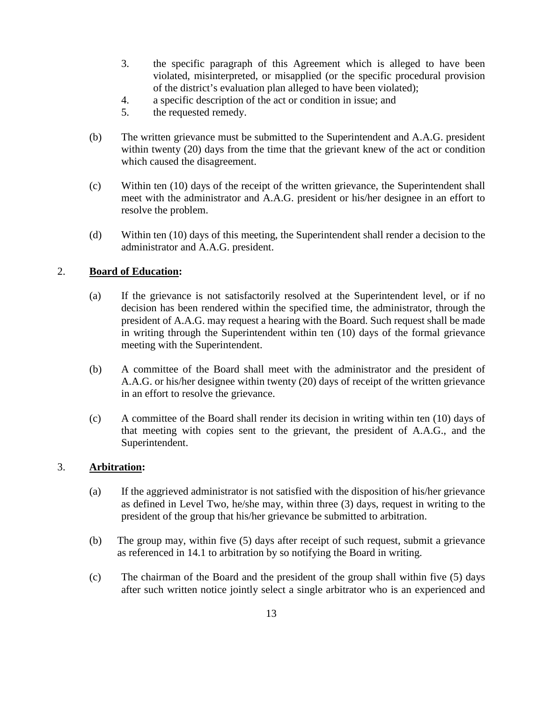- 3. the specific paragraph of this Agreement which is alleged to have been violated, misinterpreted, or misapplied (or the specific procedural provision of the district's evaluation plan alleged to have been violated);
- 4. a specific description of the act or condition in issue; and
- 5. the requested remedy.
- (b) The written grievance must be submitted to the Superintendent and A.A.G. president within twenty (20) days from the time that the grievant knew of the act or condition which caused the disagreement.
- (c) Within ten (10) days of the receipt of the written grievance, the Superintendent shall meet with the administrator and A.A.G. president or his/her designee in an effort to resolve the problem.
- (d) Within ten (10) days of this meeting, the Superintendent shall render a decision to the administrator and A.A.G. president.

## 2. **Board of Education:**

- (a) If the grievance is not satisfactorily resolved at the Superintendent level, or if no decision has been rendered within the specified time, the administrator, through the president of A.A.G. may request a hearing with the Board. Such request shall be made in writing through the Superintendent within ten (10) days of the formal grievance meeting with the Superintendent.
- (b) A committee of the Board shall meet with the administrator and the president of A.A.G. or his/her designee within twenty (20) days of receipt of the written grievance in an effort to resolve the grievance.
- (c) A committee of the Board shall render its decision in writing within ten (10) days of that meeting with copies sent to the grievant, the president of A.A.G., and the Superintendent.

### 3. **Arbitration:**

- (a) If the aggrieved administrator is not satisfied with the disposition of his/her grievance as defined in Level Two, he/she may, within three (3) days, request in writing to the president of the group that his/her grievance be submitted to arbitration.
- (b) The group may, within five (5) days after receipt of such request, submit a grievance as referenced in 14.1 to arbitration by so notifying the Board in writing.
- (c) The chairman of the Board and the president of the group shall within five (5) days after such written notice jointly select a single arbitrator who is an experienced and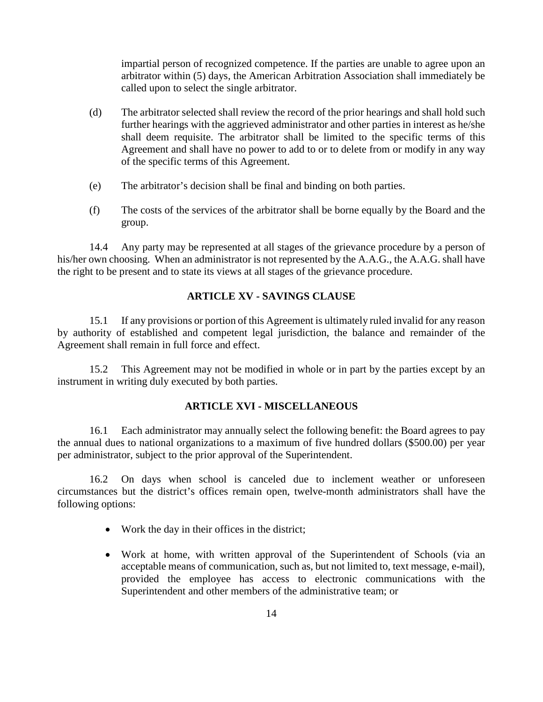impartial person of recognized competence. If the parties are unable to agree upon an arbitrator within (5) days, the American Arbitration Association shall immediately be called upon to select the single arbitrator.

- (d) The arbitrator selected shall review the record of the prior hearings and shall hold such further hearings with the aggrieved administrator and other parties in interest as he/she shall deem requisite. The arbitrator shall be limited to the specific terms of this Agreement and shall have no power to add to or to delete from or modify in any way of the specific terms of this Agreement.
- (e) The arbitrator's decision shall be final and binding on both parties.
- (f) The costs of the services of the arbitrator shall be borne equally by the Board and the group.

14.4 Any party may be represented at all stages of the grievance procedure by a person of his/her own choosing. When an administrator is not represented by the A.A.G., the A.A.G. shall have the right to be present and to state its views at all stages of the grievance procedure.

### **ARTICLE XV - SAVINGS CLAUSE**

15.1 If any provisions or portion of this Agreement is ultimately ruled invalid for any reason by authority of established and competent legal jurisdiction, the balance and remainder of the Agreement shall remain in full force and effect.

15.2 This Agreement may not be modified in whole or in part by the parties except by an instrument in writing duly executed by both parties.

### **ARTICLE XVI - MISCELLANEOUS**

16.1 Each administrator may annually select the following benefit: the Board agrees to pay the annual dues to national organizations to a maximum of five hundred dollars (\$500.00) per year per administrator, subject to the prior approval of the Superintendent.

16.2 On days when school is canceled due to inclement weather or unforeseen circumstances but the district's offices remain open, twelve-month administrators shall have the following options:

- Work the day in their offices in the district;
- Work at home, with written approval of the Superintendent of Schools (via an acceptable means of communication, such as, but not limited to, text message, e-mail), provided the employee has access to electronic communications with the Superintendent and other members of the administrative team; or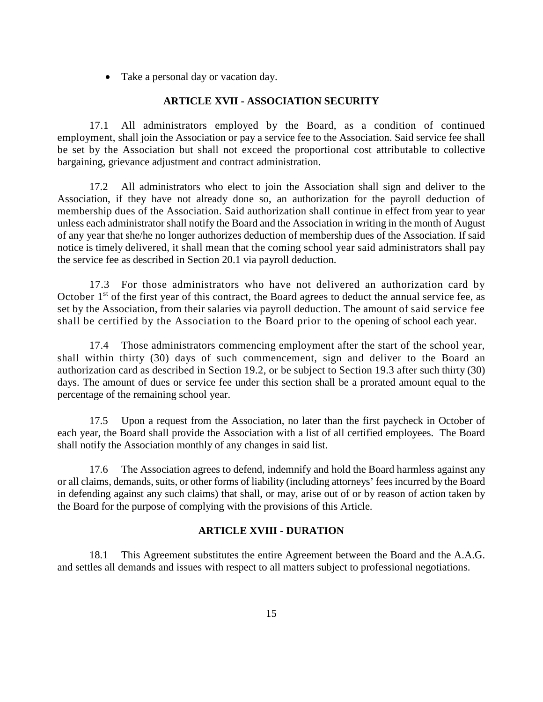• Take a personal day or vacation day.

#### **ARTICLE XVII - ASSOCIATION SECURITY**

17.1 All administrators employed by the Board, as a condition of continued employment, shall join the Association or pay a service fee to the Association. Said service fee shall be set by the Association but shall not exceed the proportional cost attributable to collective bargaining, grievance adjustment and contract administration.

17.2 All administrators who elect to join the Association shall sign and deliver to the Association, if they have not already done so, an authorization for the payroll deduction of membership dues of the Association. Said authorization shall continue in effect from year to year unless each administrator shall notify the Board and the Association in writing in the month of August of any year that she/he no longer authorizes deduction of membership dues of the Association. If said notice is timely delivered, it shall mean that the coming school year said administrators shall pay the service fee as described in Section 20.1 via payroll deduction.

17.3 For those administrators who have not delivered an authorization card by October 1<sup>st</sup> of the first year of this contract, the Board agrees to deduct the annual service fee, as set by the Association, from their salaries via payroll deduction. The amount of said service fee shall be certified by the Association to the Board prior to the opening of school each year.

17.4 Those administrators commencing employment after the start of the school year, shall within thirty (30) days of such commencement, sign and deliver to the Board an authorization card as described in Section 19.2, or be subject to Section 19.3 after such thirty (30) days. The amount of dues or service fee under this section shall be a prorated amount equal to the percentage of the remaining school year.

17.5 Upon a request from the Association, no later than the first paycheck in October of each year, the Board shall provide the Association with a list of all certified employees. The Board shall notify the Association monthly of any changes in said list.

17.6 The Association agrees to defend, indemnify and hold the Board harmless against any or all claims, demands, suits, or other forms of liability (including attorneys' fees incurred by the Board in defending against any such claims) that shall, or may, arise out of or by reason of action taken by the Board for the purpose of complying with the provisions of this Article.

#### **ARTICLE XVIII - DURATION**

18.1 This Agreement substitutes the entire Agreement between the Board and the A.A.G. and settles all demands and issues with respect to all matters subject to professional negotiations.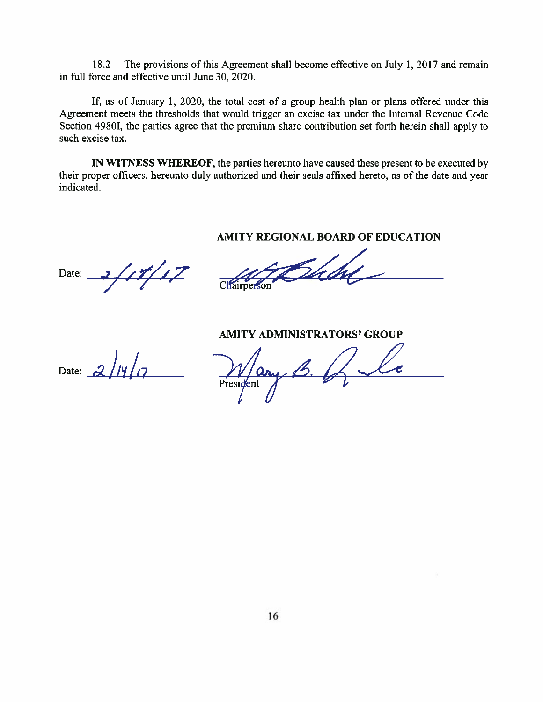18.2 The provisions of this Agreement shall become effective on July 1, 2017 and remain in full force and effective until June 30, 2020.

If, as of January 1, 2020, the total cost of a group health plan or plans offered under this Agreement meets the thresholds that would trigger an excise tax under the Internal Revenue Code Section 4980I, the parties agree that the premium share contribution set forth herein shall apply to such excise tax.

IN WITNESS WHEREOF, the parties hereunto have caused these present to be executed by their proper officers, hereunto duly authorized and their seals affixed hereto, as of the date and year indicated.

#### AMITY REGIONAL BOARD OF EDUCATION

Date:

**Chairperson** 

**AMITY ADMINISTRATORS' GROUP** 

Date:  $2/\sqrt{7}$ 

President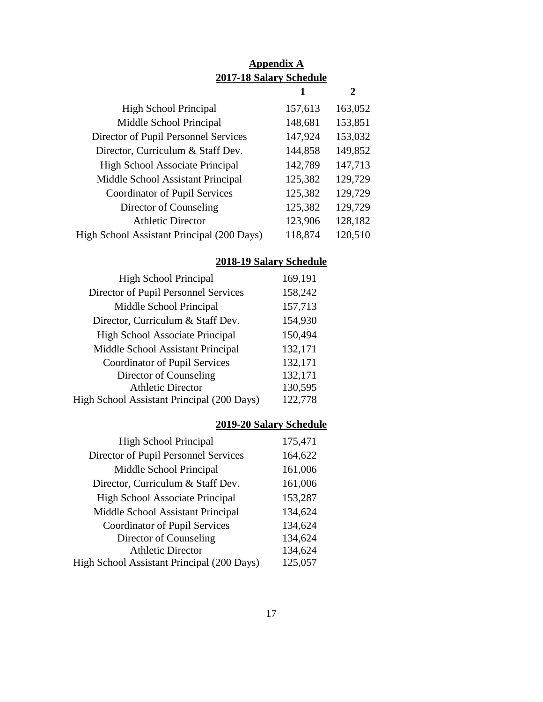|                                            | <b>Appendix A</b><br>2017-18 Salary Schedule |         |
|--------------------------------------------|----------------------------------------------|---------|
|                                            |                                              | 2       |
| <b>High School Principal</b>               | 157,613                                      | 163,052 |
| Middle School Principal                    | 148,681                                      | 153,851 |
| Director of Pupil Personnel Services       | 147,924                                      | 153,032 |
| Director, Curriculum & Staff Dev.          | 144,858                                      | 149,852 |
| <b>High School Associate Principal</b>     | 142,789                                      | 147,713 |
| Middle School Assistant Principal          | 125,382                                      | 129,729 |
| Coordinator of Pupil Services              | 125,382                                      | 129,729 |
| Director of Counseling                     | 125,382                                      | 129,729 |
| <b>Athletic Director</b>                   | 123,906                                      | 128,182 |
| High School Assistant Principal (200 Days) | 118,874                                      | 120,510 |

## **2018-19 Salary Schedule**

| 169,191 |
|---------|
| 158,242 |
| 157,713 |
| 154,930 |
| 150,494 |
| 132,171 |
| 132,171 |
| 132,171 |
| 130,595 |
| 122,778 |
|         |

## **2019-20 Salary Schedule**

| <b>High School Principal</b>               | 175,471 |
|--------------------------------------------|---------|
| Director of Pupil Personnel Services       | 164,622 |
| Middle School Principal                    | 161,006 |
| Director, Curriculum & Staff Dev.          | 161,006 |
| <b>High School Associate Principal</b>     | 153,287 |
| Middle School Assistant Principal          | 134,624 |
| Coordinator of Pupil Services              | 134,624 |
| Director of Counseling                     | 134,624 |
| <b>Athletic Director</b>                   | 134,624 |
| High School Assistant Principal (200 Days) | 125,057 |
|                                            |         |